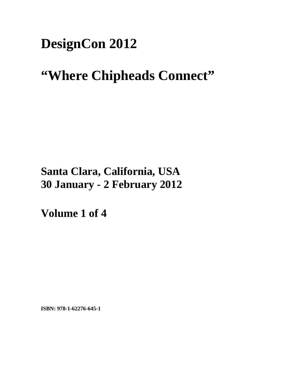## **DesignCon 2012**

# **"Where Chipheads Connect"**

## **Santa Clara, California, USA 30 January - 2 February 2012**

**Volume 1 of 4** 

**ISBN: 978-1-62276-645-1**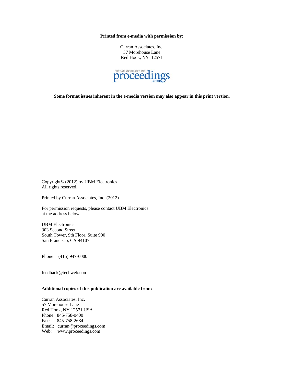**Printed from e-media with permission by:** 

Curran Associates, Inc. 57 Morehouse Lane Red Hook, NY 12571



**Some format issues inherent in the e-media version may also appear in this print version.** 

Copyright© (2012) by UBM Electronics All rights reserved.

Printed by Curran Associates, Inc. (2012)

For permission requests, please contact UBM Electronics at the address below.

UBM Electronics 303 Second Street South Tower, 9th Floor, Suite 900 San Francisco, CA 94107

Phone: (415) 947-6000

feedback@techweb.con

### **Additional copies of this publication are available from:**

Curran Associates, Inc. 57 Morehouse Lane Red Hook, NY 12571 USA Phone: 845-758-0400 Fax: 845-758-2634 Email: curran@proceedings.com Web: www.proceedings.com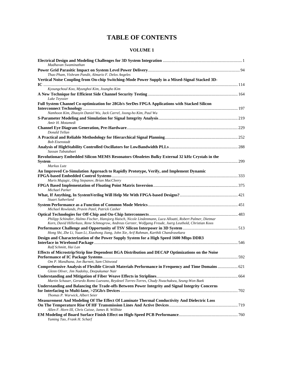## **TABLE OF CONTENTS**

| Madhavan Swaminathan                                                                                                                                                                                                    |  |
|-------------------------------------------------------------------------------------------------------------------------------------------------------------------------------------------------------------------------|--|
|                                                                                                                                                                                                                         |  |
| Thao Pham, Vishram Pandit, Almario F. Delos Angeles                                                                                                                                                                     |  |
| Vertical Noise Coupling from On-chip Switching-Mode Power Supply in a Mixed-Signal Stacked 3D-                                                                                                                          |  |
| Kyoungchoul Koo, Myunghoi Kim, Joungho Kim                                                                                                                                                                              |  |
| Luke Teyssier                                                                                                                                                                                                           |  |
| Full System Channel Co-optimization for 28Gb/s SerDes FPGA Applications with Stacked Silicon                                                                                                                            |  |
| Namhoon Kim, Zhaoyin Daniel Wu, Jack Carrel, Joong-ho Kim, Paul Wu                                                                                                                                                      |  |
| Amir H. Motamedi                                                                                                                                                                                                        |  |
| Donald Tellan                                                                                                                                                                                                           |  |
| <b>Bob Eisenstadt</b>                                                                                                                                                                                                   |  |
| Sassan Tabatabaei                                                                                                                                                                                                       |  |
| Revolutionary Embedded Silicon MEMS Resonators Obsoletes Bulky External 32 kHz Crystals in the                                                                                                                          |  |
| Markus Lutz                                                                                                                                                                                                             |  |
| An Improved Co-Simulation Approach to Rapidly Prototype, Verify, and Implement Dynamic                                                                                                                                  |  |
| Muris Mujagic, Oleg Stepanov, Brian MacCleery                                                                                                                                                                           |  |
| Michael Parker                                                                                                                                                                                                          |  |
| <b>Stuart Sutherland</b>                                                                                                                                                                                                |  |
| Michael Rowlands, Pravin Patel, Patrick Casher                                                                                                                                                                          |  |
| Philipp Schindler, Halmo Fischer, Hansjorg Haisch, Nicole Lindenmann, Luca Alloatti, Robert Palmer, Dietmar<br>Korn, David Hillerkuss, Rene Schmogrow, Andreas Gerster, Wolfgang Freude, Juerg Leuthold, Christian Koos |  |
|                                                                                                                                                                                                                         |  |
| Hong Shi, Zhe Li, Yuan Li, Xiaohong Jiang, John Xie, Arif Rahman, Karthik Chandrasekara                                                                                                                                 |  |
| Design and Characterization of the Power Supply System for a High Speed 1600 Mbps DDR3<br>Ralf Schmitt, Hai Lan                                                                                                         |  |
| Effects of Microstrip/Strip line Dependent BGA Distribution and DECAP Optimizations on the Noise                                                                                                                        |  |
| Om P. Mandhana, Jon Burnett, Sam Chitwood                                                                                                                                                                               |  |
| Comprehensive Analysis of Flexible Circuit Materials Performance in Frequency and Time Domains  621                                                                                                                     |  |
| Glenn Oliver, Jim Nadolny, Deepukumar Nair                                                                                                                                                                              |  |
| Martin Schauer, Gerardo Romo Luevano, Reydezel Torres-Torres, Chudy Nwachukwu, Seung-Won Baek                                                                                                                           |  |
| Understanding and Balancing the Trade-offs Between Power Integrity and Signal Integrity Concerns<br>Thomas P. Warwick, Albert Seier                                                                                     |  |
| Measurement And Modeling Of The Effect Of Laminate Thermal Conductivity And Dielectric Loss                                                                                                                             |  |
|                                                                                                                                                                                                                         |  |
| Allen F. Horn III, Chris Caisse, James R. Willhite                                                                                                                                                                      |  |
| Yuming Tao, Frank H. Scharf                                                                                                                                                                                             |  |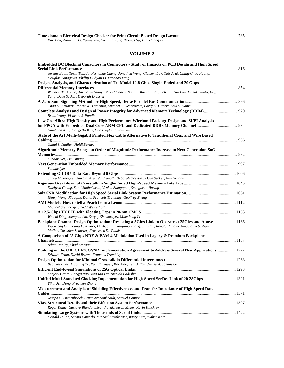| Kai Xiao, Xiaoning Ye, Yanjie Zhu, Wenjing Kang, Thonas Su, Yuan-Liang Li |  |
|---------------------------------------------------------------------------|--|

| Embedded DC Blocking Capacitors in Connectors - Study of Impacts on PCB Design and High Speed                                                          |      |
|--------------------------------------------------------------------------------------------------------------------------------------------------------|------|
| Jeremy Buan, Toshi Takada, Fernando Cheng, Jonathan Weng, Clement Luk, Tats Arai, Ching-Chao Huang,                                                    |      |
| Douglas Yanagawa, Phillip I-Chyau Li, Yaochao Yang                                                                                                     |      |
| Design, Analysis, and Characterization of Tri-Modal 12.8 Gbps Single-Ended and 20 Gbps                                                                 |      |
|                                                                                                                                                        |      |
| Wendem T. Beyene, Amir Amirkhany, Chris Madden, Kambiz Kaviani, Ralf Schmitt, Hai Lan, Keisuke Saito, Ling<br>Yang, Dave Secker, Deborah Dressler      |      |
|                                                                                                                                                        |      |
| Chad M. Smutzer, Robert W. Techentin, Michael J. Degerstrom, Barry K. Gilbert, Erik S. Daniel                                                          |      |
| Complete Analysis and Design of Power Integrity for Advanced Memory Technology (DDR4) 920<br>Brian Wang, Vishram S. Pandit                             |      |
| Low Cost/Ultra High Density and High Performance Wirebond Package Design and SI/PI Analysis                                                            |      |
|                                                                                                                                                        |      |
| Namhoon Kim, Joong-Ho Kim, Chris Wyland, Paul Wu                                                                                                       |      |
| State of the Art Multi-Gigabit Printed Flex Cable Alternative to Traditional Coax and Wire Based                                                       |      |
|                                                                                                                                                        |      |
| Jamal S. Izadian, Heidi Barnes                                                                                                                         |      |
| Algorithmic Memory Brings an Order of Magnitude Performance Increase to Next Generation SoC                                                            |      |
|                                                                                                                                                        |      |
| Sundar Iver, Da Chuang                                                                                                                                 |      |
|                                                                                                                                                        |      |
| Sundar Iyer                                                                                                                                            |      |
| Sanku Mukherjee, Dan Oh, Arun Vaidyanath, Deborah Dressler, Dave Secker, Arul Sendhil                                                                  |      |
|                                                                                                                                                        |      |
| Daehyun Chung, Sunil Sudhakaran, Venkat Satagopan, Seunghyun Hwang                                                                                     |      |
|                                                                                                                                                        |      |
| Henry Wong, Xiaoqing Dong, Francois Tremblay, Geoffrey Zhang                                                                                           |      |
|                                                                                                                                                        |      |
| Michael Steinberger, Todd Westerhoff                                                                                                                   |      |
|                                                                                                                                                        |      |
| Weichi Ding, Mengchi Liu, Sergey Shumarayev, Mike Peng Li                                                                                              |      |
| Backplane Channel Design Optimization: Recasting a 3Gb/s Link to Operate at 25Gb/s and Above  1166                                                     |      |
| Xiaoxiong Gu, Young H. Kwark, Dazhao Liu, Yaojiang Zhang, Jun Fan, Renato Rimolo-Donadio, Sebastian<br>Muller, Christian Schuster, Francesco De Paulis |      |
| A Comparison of 25 Gbps NRZ & PAM-4 Modulation Used in Legacy & Premium Backplane                                                                      |      |
|                                                                                                                                                        |      |
| Adam Healey, Chad Morgan                                                                                                                               |      |
| Building on the OIF CEI-28GVSR Implementation Agreement to Address Several New Applications 1227                                                       |      |
| Edward Frlan, David Brown, Francois Tremblay                                                                                                           |      |
|                                                                                                                                                        |      |
| Beomtaek Lee, Xiaoning Ye, Raul Enriquez, Kai Xiao, Ted Ballou, Jimmy A. Johansson                                                                     |      |
| <b>Efficient End-to-end Simulations of 25G Optical Links</b>                                                                                           | 1293 |
| Sanjeev Gupta, Fangyi Rao, Jing-tao Liu, Amolak Badesha                                                                                                |      |
| Unified Multi-Standard Clocking Implementation for High-Speed SerDes Link of 20-28Gbps 1321<br>Yikui Jen Dong, Freeman Zhong                           |      |
| Measurement and Analysis of Shielding Effectiveness and Transfer Impedance of High Speed Data                                                          |      |
|                                                                                                                                                        |      |
| Joseph C. Diepenbrock, Bruce Archambeault, Samuel Connor                                                                                               |      |
|                                                                                                                                                        |      |
| Roger Dame, Gustavo Blando, Istvan Novak, Jason Miller, Kevin Kinckley                                                                                 |      |
|                                                                                                                                                        |      |
| Donald Telian, Sergio Camerlo, Michael Steinberger, Barry Katz, Walter Katz                                                                            |      |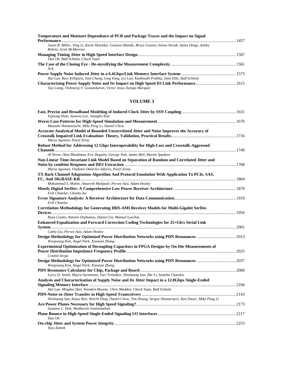| Temperature and Moisture Dependence of PCB and Package Traces and the Impact on Signal                                              |  |
|-------------------------------------------------------------------------------------------------------------------------------------|--|
|                                                                                                                                     |  |
| Jason R. Miller, Ying Li, Kevin Hinckley, Gustavo Blando, Bruce Guenin, Istvan Novak, Aykut Dengi, Ashley<br>Rebelo, Scott McMorrow |  |
|                                                                                                                                     |  |
| Dan Oh, Ralf Schmitt, Chuck Yuan                                                                                                    |  |
|                                                                                                                                     |  |
| N/A                                                                                                                                 |  |
| 1573 mover Supply Noise Induced Jitter in a 6.4Gbps/Link Memory Interface System manufacture members of 1573                        |  |
| Hai Lan, Ravi Killipara, Sam Chang, Ling Yang, Lei Luo, Kashinath Prabhu, John Eble, Ralf Schmitt                                   |  |
|                                                                                                                                     |  |
| Tao Liang, Vishnuraj V. Gunasekaran, Victor Jesus Zuniga Marquez                                                                    |  |

| Yujeong Shim, Junwoo Lee, Joungho Kim                                                                     |  |
|-----------------------------------------------------------------------------------------------------------|--|
|                                                                                                           |  |
| Masashi Shimanouchi, Mike Peng Li, Daniel Chow                                                            |  |
| Accurate Analytical Model of Bounded Uncorrelated Jitter and Noise Improves the Accuracy of               |  |
|                                                                                                           |  |
| Maria Agoston, Pavel Zivny                                                                                |  |
| Robust Method for Addressing 12 Gbps Interoperability for High-Loss and Crosstalk-Aggressed               |  |
|                                                                                                           |  |
| Al Neves, Alan Blankman, Eric Bogatin, George Noh, James Bell, Martin Spadaro                             |  |
| Non-Linear Time-Invariant Link Model Based on Separation of Random and Correlated Jitter and              |  |
|                                                                                                           |  |
| Maria Agoston, Vladimir Dmitriev-Zdorov, Pavel Zivny                                                      |  |
| TX Back Channel Adaptation Algorithm And Protocol Emulation With Application To PCIe, SAS,                |  |
|                                                                                                           |  |
| Mohammad S. Mobin, Amaresh Malipatil, Pervez Aziz, Adam Healey                                            |  |
| Erik Chmelar, Choshu Ito                                                                                  |  |
|                                                                                                           |  |
| Erik Chmelar                                                                                              |  |
| <b>Correlation Methodology for Generating IBIS-AMI Receiver Models for Multi-Gigabit SerDes</b>           |  |
|                                                                                                           |  |
| Ryan Coutts, Antonis Orphanou, Daniel Lin, Manuel Luschas                                                 |  |
| Enhanced Equalization and Forward Correction Coding Technologies for 25+Gb/s Serial Link                  |  |
|                                                                                                           |  |
| Cathy Liu, Pervez Aziz, Adam Healey                                                                       |  |
|                                                                                                           |  |
| Woopoung Kim, Angel Park, Xiaonan Zhang                                                                   |  |
| Experimental Optimization of Decoupling Capacitors in FPGA Designs by On-Die Measurements of              |  |
|                                                                                                           |  |
| Cosmin Iorga                                                                                              |  |
| Woopoung Kim, Angel Park, Xiaonan Zhang                                                                   |  |
|                                                                                                           |  |
| Larry D. Smith, Mayra Sarmiento, Yuri Tretiakov, Shishuang Sun, Zhe Li, Sunitha Chandra                   |  |
| Analysis and Characterization of Supply Noise and Its Jitter Impact in a 12.8Gbps Single-Ended            |  |
|                                                                                                           |  |
| Hai Lan, Minghui Han, Wendem Beyene, Chris Madden, Chuck Yuan, Ralf Schmitt                               |  |
|                                                                                                           |  |
| Shishuang Sun, Kaiyu Ren, Weichi Ding, Daniel Chow, Tim Hoang, Sergey Shumarayev, Ken Daxer, Mike Peng Li |  |
|                                                                                                           |  |
| Suzanne L. Huh, Madhavan Swaminathan                                                                      |  |
|                                                                                                           |  |
| Dan Oh                                                                                                    |  |
|                                                                                                           |  |
| Iliya Zamek                                                                                               |  |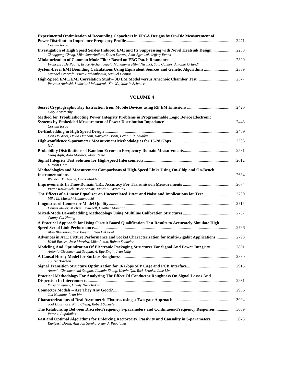| <b>Experimental Optimization of Decoupling Capacitors in FPGA Designs by On-Die Measurement of</b> |  |
|----------------------------------------------------------------------------------------------------|--|
|                                                                                                    |  |
| Cosmin Iorga                                                                                       |  |
|                                                                                                    |  |
| Zhenggang Cheng, Mike Sapozhnikov, Diaco Davari, Amit Agrawal, Jeffrey Evans                       |  |
|                                                                                                    |  |
| Francesco De Paulis, Bruce Archambeault, Muhammet Hilmi Nisanci, Sam Connor, Antonio Orlandi       |  |
|                                                                                                    |  |
| Michael Cracraft, Bruce Archambeault, Samuel Connor                                                |  |
|                                                                                                    |  |
| Peerouz Amleshi, Shahriar Mokhtarzak, Xin Wu, Martin Schauer                                       |  |

| Gary Kenworthy                                                                                                                                                 |  |
|----------------------------------------------------------------------------------------------------------------------------------------------------------------|--|
| Method for Troubleshooting Power Integrity Problems in Programmable Logic Device Electronic                                                                    |  |
|                                                                                                                                                                |  |
| Cosmin Iorga                                                                                                                                                   |  |
|                                                                                                                                                                |  |
| Don DeGroot, David Dunham, Kaviyesh Doshi, Peter J. Pupalaikis                                                                                                 |  |
| N/A                                                                                                                                                            |  |
| Sedig Agili, Aldo Morales, Mike Resso                                                                                                                          |  |
| Hiroshi Goto                                                                                                                                                   |  |
| Methodologies and Measurement Comparisons of High-Speed Links Using On-Chip and On-Bench                                                                       |  |
| Wendem T. Beyene, Chris Madden                                                                                                                                 |  |
| Victor Khilkevich, Brice Achkir, James L. Drewniak                                                                                                             |  |
| Mike Li, Masashi Shimanouchi                                                                                                                                   |  |
| Dennis Miller, Michael Brownell, Heather Monigan                                                                                                               |  |
| Chung-Chi Huang                                                                                                                                                |  |
| A Practical Approach for Using Circuit Board Qualification Test Results to Accurately Simulate High                                                            |  |
| Alan Blankman, Eric Bogatin, Don DeGroot                                                                                                                       |  |
| Advances in ATE Fixture Performance and Socket Characterization for Multi-Gigabit Applications 2798<br>Heidi Barnes, Jose Moreira, Mike Resso, Robert Schaefer |  |
| Antonio Ciccomancini Scogna, A. Ege Engin, Ivan Ndip                                                                                                           |  |
| J. Eric Bracken                                                                                                                                                |  |
|                                                                                                                                                                |  |
| Antonio Ciccomancini Scogna, Jianmin Zhang, Kelvin Qiu, Rick Brooks, Jane Lim                                                                                  |  |
| Practical Methodology For Analyzing The Effect Of Conductor Roughness On Signal Losses And                                                                     |  |
| Yuriy Shlepnev, Chudy Nwachukwu                                                                                                                                |  |
| Jim Nadolny, Leon Wu                                                                                                                                           |  |
| Joel Dunsmore, Ning Cheng, Robert Schaefer                                                                                                                     |  |
| The Relationship Between Discrete-Frequency S-parameters and Continuous-Frequency Responses  3039<br>Peter J. Pupalaikis                                       |  |
| Fast and Optimal Algorithms for Enforcing Reciprocity, Passivity and Causality in S-parameters  3073<br>Kaviyesh Doshi, Anirudh Sureka, Peter J. Pupalaikis    |  |